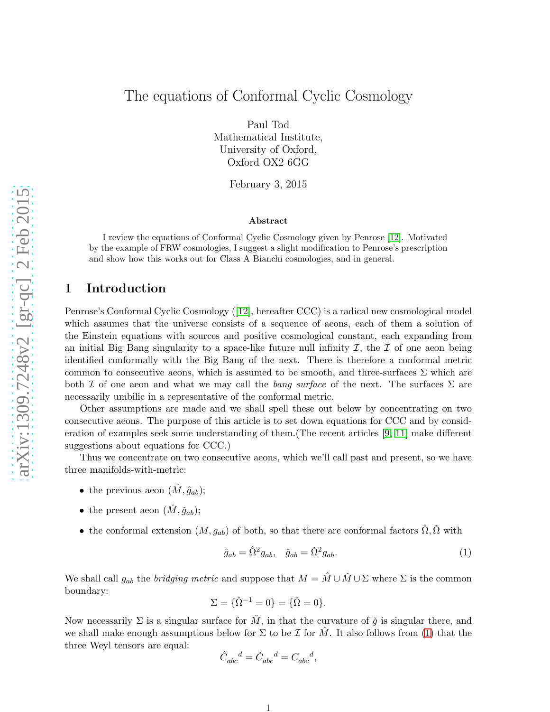# The equations of Conformal Cyclic Cosmology

Paul Tod Mathematical Institute, University of Oxford, Oxford OX2 6GG

February 3, 2015

#### Abstract

I review the equations of Conformal Cyclic Cosmology given by Penrose [\[12\]](#page-10-0). Motivated by the example of FRW cosmologies, I suggest a slight modification to Penrose's prescription and show how this works out for Class A Bianchi cosmologies, and in general.

### 1 Introduction

Penrose's Conformal Cyclic Cosmology ([\[12\]](#page-10-0), hereafter CCC) is a radical new cosmological model which assumes that the universe consists of a sequence of aeons, each of them a solution of the Einstein equations with sources and positive cosmological constant, each expanding from an initial Big Bang singularity to a space-like future null infinity  $\mathcal{I}$ , the  $\mathcal{I}$  of one aeon being identified conformally with the Big Bang of the next. There is therefore a conformal metric common to consecutive aeons, which is assumed to be smooth, and three-surfaces  $\Sigma$  which are both  $\mathcal I$  of one aeon and what we may call the *bang surface* of the next. The surfaces  $\Sigma$  are necessarily umbilic in a representative of the conformal metric.

Other assumptions are made and we shall spell these out below by concentrating on two consecutive aeons. The purpose of this article is to set down equations for CCC and by consideration of examples seek some understanding of them.(The recent articles [\[9,](#page-9-0) [11\]](#page-9-1) make different suggestions about equations for CCC.)

Thus we concentrate on two consecutive aeons, which we'll call past and present, so we have three manifolds-with-metric:

- the previous aeon  $(\hat{M}, \hat{g}_{ab});$
- the present aeon  $(\check{M}, \check{g}_{ab});$
- the conformal extension  $(M, g_{ab})$  of both, so that there are conformal factors  $\hat{\Omega}, \check{\Omega}$  with

<span id="page-0-0"></span>
$$
\hat{g}_{ab} = \hat{\Omega}^2 g_{ab}, \quad \check{g}_{ab} = \check{\Omega}^2 g_{ab}.
$$
\n<sup>(1)</sup>

We shall call  $g_{ab}$  the *bridging metric* and suppose that  $M = \hat{M} \cup \check{M} \cup \Sigma$  where  $\Sigma$  is the common boundary:

$$
\Sigma = \{\hat{\Omega}^{-1} = 0\} = \{\check{\Omega} = 0\}.
$$

Now necessarily  $\Sigma$  is a singular surface for  $\check{M}$ , in that the curvature of  $\check{g}$  is singular there, and we shall make enough assumptions below for  $\Sigma$  to be  $\mathcal I$  for  $\hat M$ . It also follows from [\(1\)](#page-0-0) that the three Weyl tensors are equal:

$$
\hat{C}_{abc}^{\phantom{abc}d}=\check{C}_{abc}^{\phantom{abc}d}=C_{abc}^{\phantom{abc}d},
$$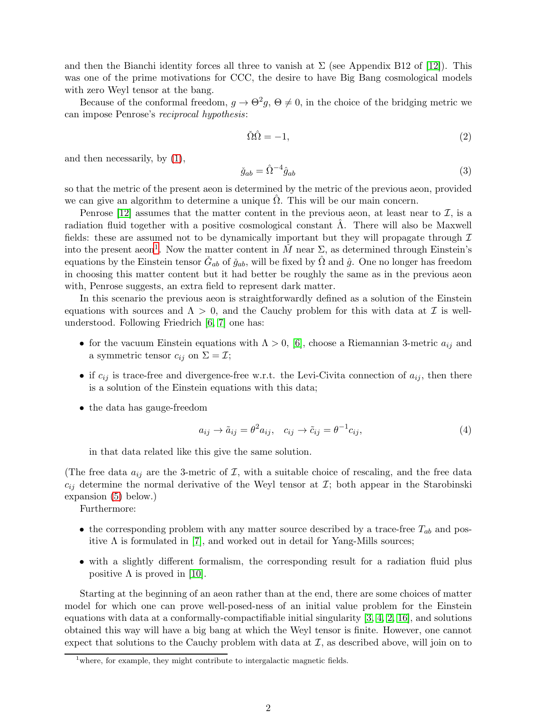and then the Bianchi identity forces all three to vanish at  $\Sigma$  (see Appendix B12 of [\[12\]](#page-10-0)). This was one of the prime motivations for CCC, the desire to have Big Bang cosmological models with zero Weyl tensor at the bang.

Because of the conformal freedom,  $g \to \Theta^2 g$ ,  $\Theta \neq 0$ , in the choice of the bridging metric we can impose Penrose's reciprocal hypothesis:

<span id="page-1-2"></span>
$$
\check{\Omega}\hat{\Omega} = -1,\tag{2}
$$

and then necessarily, by [\(1\)](#page-0-0),

<span id="page-1-3"></span>
$$
\check{g}_{ab} = \hat{\Omega}^{-4} \hat{g}_{ab} \tag{3}
$$

so that the metric of the present aeon is determined by the metric of the previous aeon, provided we can give an algorithm to determine a unique  $\Omega$ . This will be our main concern.

Penrose [\[12\]](#page-10-0) assumes that the matter content in the previous aeon, at least near to  $\mathcal{I}$ , is a radiation fluid together with a positive cosmological constant  $\Lambda$ . There will also be Maxwell fields: these are assumed not to be dynamically important but they will propagate through  $\mathcal I$ into the present aeon<sup>[1](#page-1-0)</sup>. Now the matter content in  $\check{M}$  near  $\Sigma$ , as determined through Einstein's equations by the Einstein tensor  $\check{G}_{ab}$  of  $\check{g}_{ab}$ , will be fixed by  $\hat{\Omega}$  and  $\hat{g}$ . One no longer has freedom in choosing this matter content but it had better be roughly the same as in the previous aeon with, Penrose suggests, an extra field to represent dark matter.

In this scenario the previous aeon is straightforwardly defined as a solution of the Einstein equations with sources and  $\Lambda > 0$ , and the Cauchy problem for this with data at  $\mathcal I$  is wellunderstood. Following Friedrich [\[6,](#page-9-2) [7\]](#page-9-3) one has:

- for the vacuum Einstein equations with  $\Lambda > 0$ , [\[6\]](#page-9-2), choose a Riemannian 3-metric  $a_{ij}$  and a symmetric tensor  $c_{ij}$  on  $\Sigma = \mathcal{I}$ ;
- if  $c_{ij}$  is trace-free and divergence-free w.r.t. the Levi-Civita connection of  $a_{ij}$ , then there is a solution of the Einstein equations with this data;
- the data has gauge-freedom

<span id="page-1-1"></span>
$$
a_{ij} \to \tilde{a}_{ij} = \theta^2 a_{ij}, \quad c_{ij} \to \tilde{c}_{ij} = \theta^{-1} c_{ij}, \tag{4}
$$

in that data related like this give the same solution.

(The free data  $a_{ij}$  are the 3-metric of  $\mathcal{I}$ , with a suitable choice of rescaling, and the free data  $c_{ij}$  determine the normal derivative of the Weyl tensor at  $\mathcal{I}$ ; both appear in the Starobinski expansion [\(5\)](#page-2-0) below.)

Furthermore:

- the corresponding problem with any matter source described by a trace-free  $T_{ab}$  and positive  $\Lambda$  is formulated in [\[7\]](#page-9-3), and worked out in detail for Yang-Mills sources;
- with a slightly different formalism, the corresponding result for a radiation fluid plus positive  $\Lambda$  is proved in [\[10\]](#page-9-4).

Starting at the beginning of an aeon rather than at the end, there are some choices of matter model for which one can prove well-posed-ness of an initial value problem for the Einstein equations with data at a conformally-compactifiable initial singularity [\[3,](#page-9-5) [4,](#page-9-6) [2,](#page-9-7) [16\]](#page-10-1), and solutions obtained this way will have a big bang at which the Weyl tensor is finite. However, one cannot expect that solutions to the Cauchy problem with data at  $\mathcal{I}$ , as described above, will join on to

<span id="page-1-0"></span><sup>&</sup>lt;sup>1</sup>where, for example, they might contribute to intergalactic magnetic fields.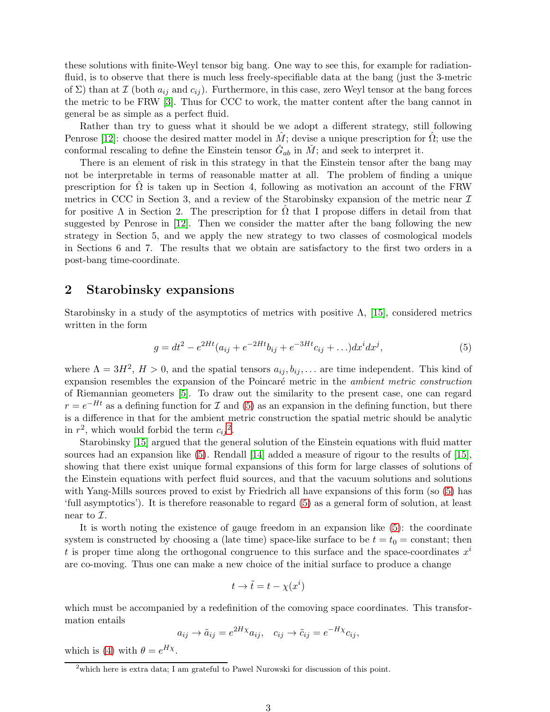these solutions with finite-Weyl tensor big bang. One way to see this, for example for radiationfluid, is to observe that there is much less freely-specifiable data at the bang (just the 3-metric of  $\Sigma$ ) than at  $\mathcal I$  (both  $a_{ij}$  and  $c_{ij}$ ). Furthermore, in this case, zero Weyl tensor at the bang forces the metric to be FRW [\[3\]](#page-9-5). Thus for CCC to work, the matter content after the bang cannot in general be as simple as a perfect fluid.

Rather than try to guess what it should be we adopt a different strategy, still following Penrose [\[12\]](#page-10-0): choose the desired matter model in M; devise a unique prescription for  $\Omega$ ; use the conformal rescaling to define the Einstein tensor  $\check{G}_{ab}$  in  $\check{M}$ ; and seek to interpret it.

There is an element of risk in this strategy in that the Einstein tensor after the bang may not be interpretable in terms of reasonable matter at all. The problem of finding a unique prescription for  $\Omega$  is taken up in Section 4, following as motivation an account of the FRW metrics in CCC in Section 3, and a review of the Starobinsky expansion of the metric near  $\mathcal I$ for positive  $\Lambda$  in Section 2. The prescription for  $\Omega$  that I propose differs in detail from that suggested by Penrose in [\[12\]](#page-10-0). Then we consider the matter after the bang following the new strategy in Section 5, and we apply the new strategy to two classes of cosmological models in Sections 6 and 7. The results that we obtain are satisfactory to the first two orders in a post-bang time-coordinate.

#### 2 Starobinsky expansions

Starobinsky in a study of the asymptotics of metrics with positive  $\Lambda$ , [\[15\]](#page-10-2), considered metrics written in the form

<span id="page-2-0"></span>
$$
g = dt^{2} - e^{2Ht}(a_{ij} + e^{-2Ht}b_{ij} + e^{-3Ht}c_{ij} + \ldots)dx^{i}dx^{j},
$$
\n(5)

where  $\Lambda = 3H^2$ ,  $H > 0$ , and the spatial tensors  $a_{ij}, b_{ij}, \ldots$  are time independent. This kind of expansion resembles the expansion of the Poincaré metric in the *ambient metric construction* of Riemannian geometers [\[5\]](#page-9-8). To draw out the similarity to the present case, one can regard  $r = e^{-Ht}$  as a defining function for  $\mathcal I$  and [\(5\)](#page-2-0) as an expansion in the defining function, but there is a difference in that for the ambient metric construction the spatial metric should be analytic in  $r^2$  $r^2$ , which would forbid the term  $c_{ij}^2$ .

Starobinsky [\[15\]](#page-10-2) argued that the general solution of the Einstein equations with fluid matter sources had an expansion like [\(5\)](#page-2-0). Rendall [\[14\]](#page-10-3) added a measure of rigour to the results of [\[15\]](#page-10-2), showing that there exist unique formal expansions of this form for large classes of solutions of the Einstein equations with perfect fluid sources, and that the vacuum solutions and solutions with Yang-Mills sources proved to exist by Friedrich all have expansions of this form (so  $(5)$ ) has 'full asymptotics'). It is therefore reasonable to regard [\(5\)](#page-2-0) as a general form of solution, at least near to  $\mathcal{I}.$ 

It is worth noting the existence of gauge freedom in an expansion like [\(5\)](#page-2-0): the coordinate system is constructed by choosing a (late time) space-like surface to be  $t = t_0 = \text{constant}$ ; then t is proper time along the orthogonal congruence to this surface and the space-coordinates  $x^i$ are co-moving. Thus one can make a new choice of the initial surface to produce a change

$$
t \to \tilde{t} = t - \chi(x^i)
$$

which must be accompanied by a redefinition of the comoving space coordinates. This transformation entails

$$
a_{ij} \to \tilde{a}_{ij} = e^{2H\chi} a_{ij}, \quad c_{ij} \to \tilde{c}_{ij} = e^{-H\chi} c_{ij},
$$

which is [\(4\)](#page-1-1) with  $\theta = e^{H\chi}$ .

<span id="page-2-1"></span><sup>&</sup>lt;sup>2</sup>which here is extra data; I am grateful to Pawel Nurowski for discussion of this point.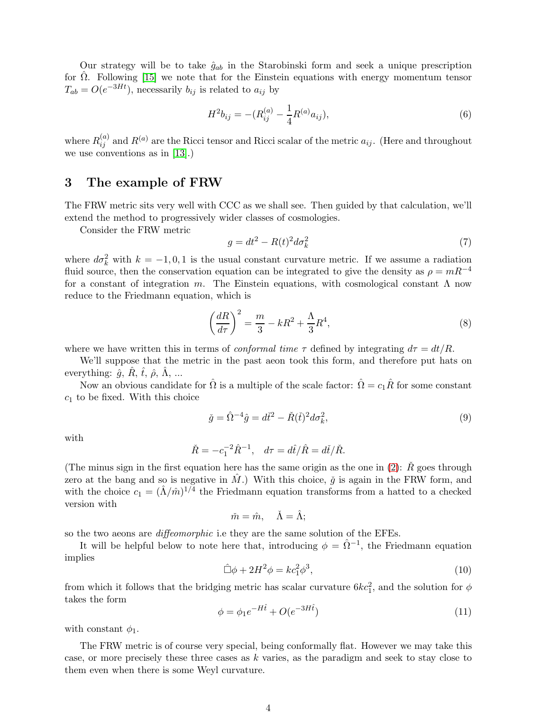Our strategy will be to take  $\hat{g}_{ab}$  in the Starobinski form and seek a unique prescription for  $\hat{\Omega}$ . Following [\[15\]](#page-10-2) we note that for the Einstein equations with energy momentum tensor  $T_{ab} = O(e^{-3Ht})$ , necessarily  $b_{ij}$  is related to  $a_{ij}$  by

<span id="page-3-2"></span>
$$
H^2 b_{ij} = -(R_{ij}^{(a)} - \frac{1}{4}R^{(a)} a_{ij}),
$$
\n(6)

where  $R_{ij}^{(a)}$  and  $R^{(a)}$  are the Ricci tensor and Ricci scalar of the metric  $a_{ij}$ . (Here and throughout we use conventions as in [\[13\]](#page-10-4).)

## 3 The example of FRW

The FRW metric sits very well with CCC as we shall see. Then guided by that calculation, we'll extend the method to progressively wider classes of cosmologies.

Consider the FRW metric

$$
g = dt^2 - R(t)^2 d\sigma_k^2 \tag{7}
$$

where  $d\sigma_k^2$  with  $k = -1, 0, 1$  is the usual constant curvature metric. If we assume a radiation fluid source, then the conservation equation can be integrated to give the density as  $\rho = mR^{-4}$ for a constant of integration m. The Einstein equations, with cosmological constant  $\Lambda$  now reduce to the Friedmann equation, which is

$$
\left(\frac{dR}{d\tau}\right)^2 = \frac{m}{3} - kR^2 + \frac{\Lambda}{3}R^4,\tag{8}
$$

where we have written this in terms of *conformal time*  $\tau$  defined by integrating  $d\tau = dt/R$ .

We'll suppose that the metric in the past aeon took this form, and therefore put hats on everything:  $\hat{g}$ , R,  $\hat{t}$ ,  $\hat{\rho}$ , A, ...

Now an obvious candidate for  $\hat{\Omega}$  is a multiple of the scale factor:  $\hat{\Omega} = c_1 \hat{R}$  for some constant  $c_1$  to be fixed. With this choice

$$
\check{g} = \hat{\Omega}^{-4}\hat{g} = d\check{t}^2 - \check{R}(\check{t})^2 d\sigma_k^2,\tag{9}
$$

with

$$
\check{R} = -c_1^{-2} \hat{R}^{-1}, \quad d\tau = d\hat{t}/\hat{R} = d\check{t}/\check{R}.
$$

(The minus sign in the first equation here has the same origin as the one in [\(2\)](#page-1-2):  $\check{R}$  goes through zero at the bang and so is negative in  $\hat{M}$ .) With this choice,  $\check{g}$  is again in the FRW form, and with the choice  $c_1 = (\hat{\Lambda}/\hat{m})^{1/4}$  the Friedmann equation transforms from a hatted to a checked version with

$$
\check{m} = \hat{m}, \quad \check{\Lambda} = \hat{\Lambda};
$$

so the two aeons are *diffeomorphic* i.e they are the same solution of the EFEs.

It will be helpful below to note here that, introducing  $\phi = \hat{\Omega}^{-1}$ , the Friedmann equation implies

<span id="page-3-0"></span>
$$
\hat{\Box}\phi + 2H^2\phi = kc_1^2\phi^3,\tag{10}
$$

from which it follows that the bridging metric has scalar curvature  $6kc_1^2$ , and the solution for  $\phi$ takes the form

<span id="page-3-1"></span>
$$
\phi = \phi_1 e^{-H\hat{t}} + O(e^{-3H\hat{t}})
$$
\n(11)

with constant  $\phi_1$ .

The FRW metric is of course very special, being conformally flat. However we may take this case, or more precisely these three cases as k varies, as the paradigm and seek to stay close to them even when there is some Weyl curvature.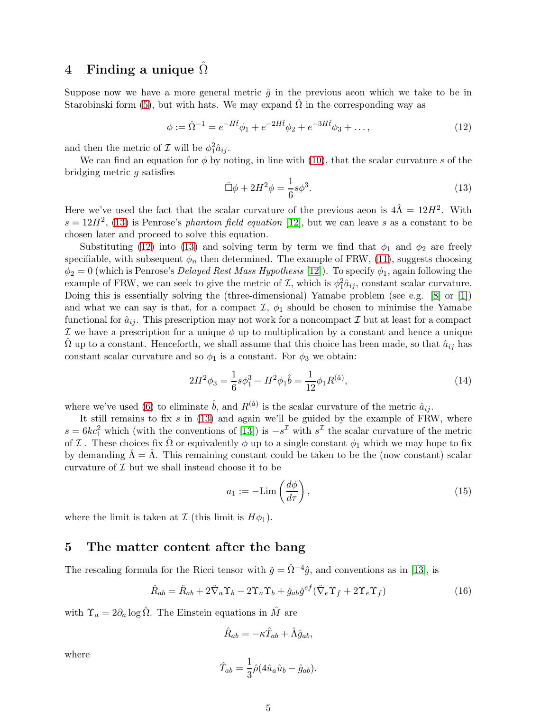## 4 Finding a unique  $\Omega$

Suppose now we have a more general metric  $\hat{g}$  in the previous aeon which we take to be in Starobinski form [\(5\)](#page-2-0), but with hats. We may expand  $\hat{\Omega}$  in the corresponding way as

<span id="page-4-1"></span>
$$
\phi := \hat{\Omega}^{-1} = e^{-H\hat{t}}\phi_1 + e^{-2H\hat{t}}\phi_2 + e^{-3H\hat{t}}\phi_3 + \dots,\tag{12}
$$

and then the metric of  $\mathcal I$  will be  $\phi_1^2 \hat a_{ij}$ .

We can find an equation for  $\phi$  by noting, in line with [\(10\)](#page-3-0), that the scalar curvature s of the bridging metric g satisfies

<span id="page-4-0"></span>
$$
\hat{\Box}\phi + 2H^2\phi = \frac{1}{6}s\phi^3.
$$
\n(13)

Here we've used the fact that the scalar curvature of the previous aeon is  $4\hat{\Lambda} = 12H^2$ . With  $s = 12H^2$ , [\(13\)](#page-4-0) is Penrose's phantom field equation [\[12\]](#page-10-0), but we can leave s as a constant to be chosen later and proceed to solve this equation.

Substituting [\(12\)](#page-4-1) into [\(13\)](#page-4-0) and solving term by term we find that  $\phi_1$  and  $\phi_2$  are freely specifiable, with subsequent  $\phi_n$  then determined. The example of FRW, [\(11\)](#page-3-1), suggests choosing  $\phi_2 = 0$  (which is Penrose's *Delayed Rest Mass Hypothesis* [\[12\]](#page-10-0)). To specify  $\phi_1$ , again following the example of FRW, we can seek to give the metric of  $\mathcal{I}$ , which is  $\phi_1^2 \hat{a}_{ij}$ , constant scalar curvature. Doing this is essentially solving the (three-dimensional) Yamabe problem (see e.g. [\[8\]](#page-9-9) or [\[1\]](#page-9-10)) and what we can say is that, for a compact  $\mathcal{I}, \phi_1$  should be chosen to minimise the Yamabe functional for  $\hat{a}_{ij}$ . This prescription may not work for a noncompact  $\mathcal I$  but at least for a compact I we have a prescription for a unique  $\phi$  up to multiplication by a constant and hence a unique  $\Omega$  up to a constant. Henceforth, we shall assume that this choice has been made, so that  $\hat{a}_{ij}$  has constant scalar curvature and so  $\phi_1$  is a constant. For  $\phi_3$  we obtain:

<span id="page-4-3"></span>
$$
2H^2\phi_3 = \frac{1}{6}s\phi_1^3 - H^2\phi_1\hat{b} = \frac{1}{12}\phi_1R^{(\hat{a})},\tag{14}
$$

where we've used [\(6\)](#page-3-2) to eliminate  $\hat{b}$ , and  $R^{(\hat{a})}$  is the scalar curvature of the metric  $\hat{a}_{ij}$ .

It still remains to fix  $s$  in  $(13)$  and again we'll be guided by the example of FRW, where  $s = 6kc_1^2$  which (with the conventions of [\[13\]](#page-10-4)) is  $-s^2$  with  $s^2$  the scalar curvature of the metric of I. These choices fix  $\hat{\Omega}$  or equivalently  $\phi$  up to a single constant  $\phi_1$  which we may hope to fix by demanding  $\dot{\Lambda} = \Lambda$ . This remaining constant could be taken to be the (now constant) scalar curvature of  $\mathcal I$  but we shall instead choose it to be

$$
a_1 := -\text{Lim}\left(\frac{d\phi}{d\tau}\right),\tag{15}
$$

where the limit is taken at  $\mathcal I$  (this limit is  $H\phi_1$ ).

#### 5 The matter content after the bang

The rescaling formula for the Ricci tensor with  $\check{g} = \hat{\Omega}^{-4}\hat{g}$ , and conventions as in [\[13\]](#page-10-4), is

<span id="page-4-2"></span>
$$
\hat{R}_{ab} = \check{R}_{ab} + 2\check{\nabla}_a \Upsilon_b - 2\Upsilon_a \Upsilon_b + \check{g}_{ab}\check{g}^{ef}(\check{\nabla}_e \Upsilon_f + 2\Upsilon_e \Upsilon_f)
$$
\n(16)

with  $\Upsilon_a = 2\partial_a \log \hat{\Omega}$ . The Einstein equations in  $\hat{M}$  are

$$
\hat{R}_{ab} = -\kappa \hat{T}_{ab} + \hat{\Lambda} \hat{g}_{ab},
$$

where

$$
\hat{T}_{ab} = \frac{1}{3}\hat{\rho}(4\hat{u}_a\hat{u}_b - \hat{g}_{ab}).
$$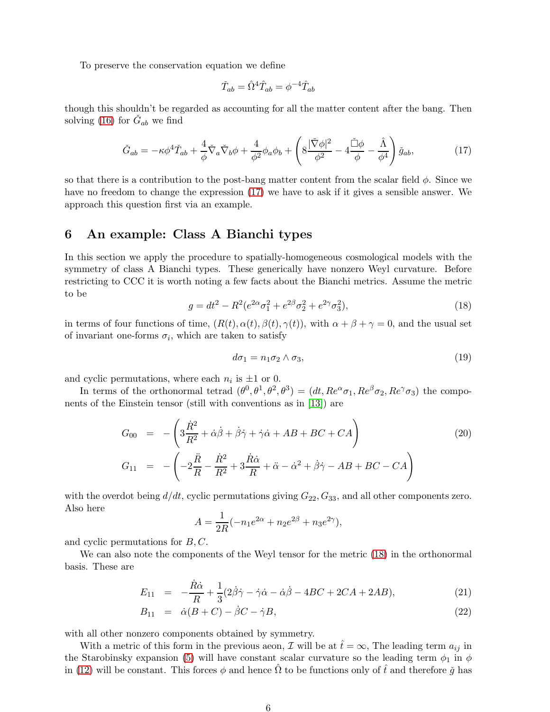To preserve the conservation equation we define

$$
\check{T}_{ab} = \hat{\Omega}^4 \hat{T}_{ab} = \phi^{-4} \hat{T}_{ab}
$$

though this shouldn't be regarded as accounting for all the matter content after the bang. Then solving [\(16\)](#page-4-2) for  $\check{G}_{ab}$  we find

<span id="page-5-0"></span>
$$
\check{G}_{ab} = -\kappa \phi^4 \check{T}_{ab} + \frac{4}{\phi} \check{\nabla}_a \check{\nabla}_b \phi + \frac{4}{\phi^2} \phi_a \phi_b + \left( 8 \frac{|\check{\nabla} \phi|^2}{\phi^2} - 4 \frac{\check{\Box} \phi}{\phi} - \frac{\hat{\Lambda}}{\phi^4} \right) \check{g}_{ab},\tag{17}
$$

so that there is a contribution to the post-bang matter content from the scalar field  $\phi$ . Since we have no freedom to change the expression [\(17\)](#page-5-0) we have to ask if it gives a sensible answer. We approach this question first via an example.

## 6 An example: Class A Bianchi types

In this section we apply the procedure to spatially-homogeneous cosmological models with the symmetry of class A Bianchi types. These generically have nonzero Weyl curvature. Before restricting to CCC it is worth noting a few facts about the Bianchi metrics. Assume the metric to be

<span id="page-5-1"></span>
$$
g = dt^{2} - R^{2} (e^{2\alpha} \sigma_{1}^{2} + e^{2\beta} \sigma_{2}^{2} + e^{2\gamma} \sigma_{3}^{2}),
$$
\n(18)

in terms of four functions of time,  $(R(t), \alpha(t), \beta(t), \gamma(t))$ , with  $\alpha + \beta + \gamma = 0$ , and the usual set of invariant one-forms  $\sigma_i$ , which are taken to satisfy

$$
d\sigma_1 = n_1 \sigma_2 \wedge \sigma_3,\tag{19}
$$

and cyclic permutations, where each  $n_i$  is  $\pm 1$  or 0.

In terms of the orthonormal tetrad  $(\theta^0, \theta^1, \theta^2, \theta^3) = (dt, Re^{\alpha}\sigma_1, Re^{\beta}\sigma_2, Re^{\gamma}\sigma_3)$  the components of the Einstein tensor (still with conventions as in [\[13\]](#page-10-4)) are

<span id="page-5-3"></span>
$$
G_{00} = -\left(3\frac{\dot{R}^2}{R^2} + \dot{\alpha}\dot{\beta} + \dot{\beta}\dot{\gamma} + \dot{\gamma}\dot{\alpha} + AB + BC + CA\right)
$$
  
\n
$$
G_{11} = -\left(-2\frac{\ddot{R}}{R} - \frac{\dot{R}^2}{R^2} + 3\frac{\dot{R}\dot{\alpha}}{R} + \ddot{\alpha} - \dot{\alpha}^2 + \dot{\beta}\dot{\gamma} - AB + BC - CA\right)
$$
\n(20)

with the overdot being  $d/dt$ , cyclic permutations giving  $G_{22}$ ,  $G_{33}$ , and all other components zero. Also here

$$
A = \frac{1}{2R}(-n_1e^{2\alpha} + n_2e^{2\beta} + n_3e^{2\gamma}),
$$

and cyclic permutations for  $B, C$ .

We can also note the components of the Weyl tensor for the metric [\(18\)](#page-5-1) in the orthonormal basis. These are

<span id="page-5-2"></span>
$$
E_{11} = -\frac{\dot{R}\dot{\alpha}}{R} + \frac{1}{3}(2\dot{\beta}\dot{\gamma} - \dot{\gamma}\dot{\alpha} - \dot{\alpha}\dot{\beta} - 4BC + 2CA + 2AB), \qquad (21)
$$

$$
B_{11} = \dot{\alpha}(B+C) - \dot{\beta}C - \dot{\gamma}B, \qquad (22)
$$

with all other nonzero components obtained by symmetry.

With a metric of this form in the previous aeon,  $\mathcal I$  will be at  $\hat t = \infty$ , The leading term  $a_{ij}$  in the Starobinsky expansion [\(5\)](#page-2-0) will have constant scalar curvature so the leading term  $\phi_1$  in  $\phi$ in [\(12\)](#page-4-1) will be constant. This forces  $\phi$  and hence  $\hat{\Omega}$  to be functions only of  $\hat{t}$  and therefore  $\check{g}$  has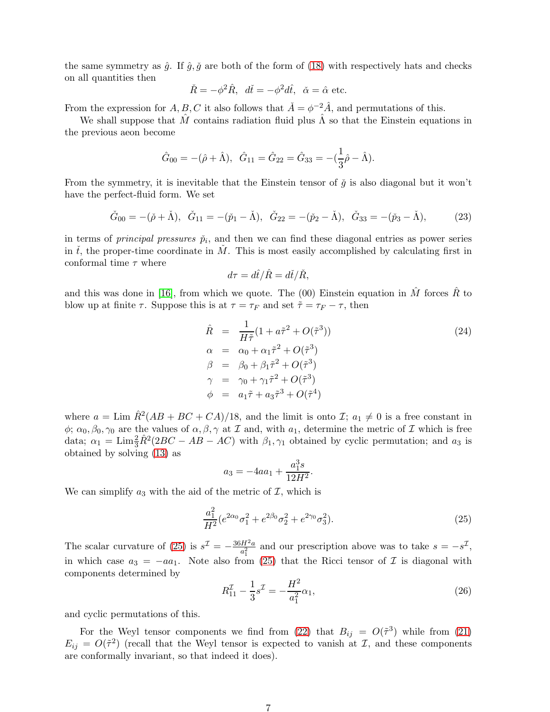the same symmetry as  $\hat{g}$ . If  $\hat{g}$ ,  $\check{g}$  are both of the form of [\(18\)](#page-5-1) with respectively hats and checks on all quantities then

$$
\check{R} = -\phi^2 \hat{R}, \quad d\check{t} = -\phi^2 d\hat{t}, \quad \check{\alpha} = \hat{\alpha} \text{ etc.}
$$

From the expression for  $A, B, C$  it also follows that  $\check{A} = \phi^{-2} \hat{A}$ , and permutations of this.

We shall suppose that  $\hat{M}$  contains radiation fluid plus  $\hat{\Lambda}$  so that the Einstein equations in the previous aeon become

$$
\hat{G}_{00} = -(\hat{\rho} + \hat{\Lambda}), \quad \hat{G}_{11} = \hat{G}_{22} = \hat{G}_{33} = -(\frac{1}{3}\hat{\rho} - \hat{\Lambda}).
$$

From the symmetry, it is inevitable that the Einstein tensor of  $\check{q}$  is also diagonal but it won't have the perfect-fluid form. We set

<span id="page-6-1"></span>
$$
\check{G}_{00} = -(\check{\rho} + \check{\Lambda}), \quad \check{G}_{11} = -(\check{p}_1 - \check{\Lambda}), \quad \check{G}_{22} = -(\check{p}_2 - \check{\Lambda}), \quad \check{G}_{33} = -(\check{p}_3 - \check{\Lambda}), \tag{23}
$$

in terms of *principal pressures*  $\tilde{p}_i$ , and then we can find these diagonal entries as power series in the proper-time coordinate in M. This is most easily accomplished by calculating first in conformal time  $\tau$  where

$$
d\tau = d\hat{t}/\hat{R} = d\check{t}/\check{R},
$$

and this was done in [\[16\]](#page-10-1), from which we quote. The (00) Einstein equation in  $\hat{M}$  forces  $\hat{R}$  to blow up at finite  $\tau$ . Suppose this is at  $\tau = \tau_F$  and set  $\tilde{\tau} = \tau_F - \tau$ , then

<span id="page-6-2"></span>
$$
\hat{R} = \frac{1}{H\tilde{\tau}} (1 + a\tilde{\tau}^2 + O(\tilde{\tau}^3))
$$
\n
$$
\alpha = \alpha_0 + \alpha_1 \tilde{\tau}^2 + O(\tilde{\tau}^3)
$$
\n
$$
\beta = \beta_0 + \beta_1 \tilde{\tau}^2 + O(\tilde{\tau}^3)
$$
\n
$$
\gamma = \gamma_0 + \gamma_1 \tilde{\tau}^2 + O(\tilde{\tau}^3)
$$
\n
$$
\phi = a_1 \tilde{\tau} + a_3 \tilde{\tau}^3 + O(\tilde{\tau}^4)
$$
\n(24)

where  $a = \text{Lim }\hat{R}^2(AB + BC + CA)/18$ , and the limit is onto  $\mathcal{I}; a_1 \neq 0$  is a free constant in  $\phi$ ;  $\alpha_0$ ,  $\beta_0$ ,  $\gamma_0$  are the values of  $\alpha$ ,  $\beta$ ,  $\gamma$  at  $\mathcal I$  and, with  $a_1$ , determine the metric of  $\mathcal I$  which is free data;  $\alpha_1 = \text{Lim}_{3}^{2} \hat{R}^2 (2BC - AB - AC)$  with  $\beta_1, \gamma_1$  obtained by cyclic permutation; and  $a_3$  is obtained by solving [\(13\)](#page-4-0) as

$$
a_3 = -4aa_1 + \frac{a_1^3s}{12H^2}.
$$

We can simplify  $a_3$  with the aid of the metric of  $\mathcal{I}$ , which is

<span id="page-6-0"></span>
$$
\frac{a_1^2}{H^2}(e^{2\alpha_0}\sigma_1^2 + e^{2\beta_0}\sigma_2^2 + e^{2\gamma_0}\sigma_3^2). \tag{25}
$$

The scalar curvature of [\(25\)](#page-6-0) is  $s^{\mathcal{I}} = -\frac{36H^2a}{s^2}$  $\frac{dH^2a}{a_1^2}$  and our prescription above was to take  $s = -s^2$ , in which case  $a_3 = -aa_1$ . Note also from [\(25\)](#page-6-0) that the Ricci tensor of  $\mathcal I$  is diagonal with components determined by

<span id="page-6-3"></span>
$$
R_{11}^{\mathcal{I}} - \frac{1}{3}s^{\mathcal{I}} = -\frac{H^2}{a_1^2}\alpha_1,\tag{26}
$$

and cyclic permutations of this.

For the Weyl tensor components we find from [\(22\)](#page-5-2) that  $B_{ij} = O(\tilde{\tau}^3)$  while from [\(21\)](#page-5-2)  $E_{ij} = O(\tilde{\tau}^2)$  (recall that the Weyl tensor is expected to vanish at  $\mathcal{I}$ , and these components are conformally invariant, so that indeed it does).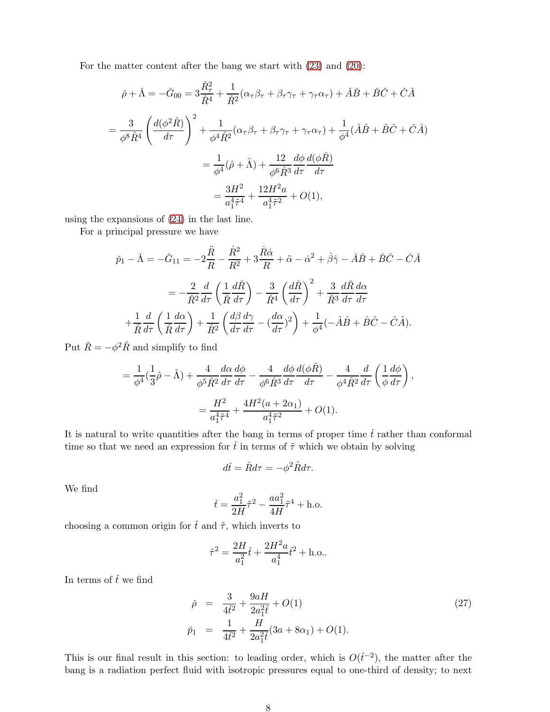For the matter content after the bang we start with [\(23\)](#page-6-1) and [\(20\)](#page-5-3):

$$
\check{\rho} + \check{\Lambda} = -\check{G}_{00} = 3\frac{\check{R}_{\tau}^{2}}{\check{R}^{4}} + \frac{1}{\check{R}^{2}}(\alpha_{\tau}\beta_{\tau} + \beta_{\tau}\gamma_{\tau} + \gamma_{\tau}\alpha_{\tau}) + \check{A}\check{B} + \check{B}\check{C} + \check{C}\check{A}
$$
\n
$$
= \frac{3}{\phi^{8}\hat{R}^{4}} \left(\frac{d(\phi^{2}\hat{R})}{d\tau}\right)^{2} + \frac{1}{\phi^{4}\hat{R}^{2}}(\alpha_{\tau}\beta_{\tau} + \beta_{\tau}\gamma_{\tau} + \gamma_{\tau}\alpha_{\tau}) + \frac{1}{\phi^{4}}(\hat{A}\hat{B} + \hat{B}\hat{C} + \hat{C}\hat{A})
$$
\n
$$
= \frac{1}{\phi^{4}}(\hat{\rho} + \hat{\Lambda}) + \frac{12}{\phi^{6}\hat{R}^{3}}\frac{d\phi}{d\tau}\frac{d(\phi\hat{R})}{d\tau}
$$
\n
$$
= \frac{3H^{2}}{a_{1}^{4}\tilde{\tau}^{4}} + \frac{12H^{2}a}{a_{1}^{4}\tilde{\tau}^{2}} + O(1),
$$

using the expansions of [\(24\)](#page-6-2) in the last line.

For a principal pressure we have

$$
\check{p}_{1} - \check{\Lambda} = -\check{G}_{11} = -2\frac{\ddot{R}}{R} - \frac{\dot{R}^{2}}{R^{2}} + 3\frac{\dot{R}\dot{\alpha}}{R} + \ddot{\alpha} - \dot{\alpha}^{2} + \dot{\beta}\dot{\gamma} - \check{A}\check{B} + \check{B}\check{C} - \check{C}\check{A}
$$
\n
$$
= -\frac{2}{\check{R}^{2}}\frac{d}{d\tau}\left(\frac{1}{\check{R}}\frac{d\check{R}}{d\tau}\right) - \frac{3}{\check{R}^{4}}\left(\frac{d\check{R}}{d\tau}\right)^{2} + \frac{3}{\check{R}^{3}}\frac{d\check{R}}{d\tau}\frac{d\alpha}{d\tau}
$$
\n
$$
+ \frac{1}{\check{R}}\frac{d}{d\tau}\left(\frac{1}{\check{R}}\frac{d\alpha}{d\tau}\right) + \frac{1}{\check{R}^{2}}\left(\frac{d\beta}{d\tau}\frac{d\gamma}{d\tau} - \left(\frac{d\alpha}{d\tau}\right)^{2}\right) + \frac{1}{\phi^{4}}(-\hat{A}\hat{B} + \hat{B}\hat{C} - \hat{C}\hat{A}).
$$

Put  $\check{R} = -\phi^2 \hat{R}$  and simplify to find

$$
= \frac{1}{\phi^4} \left( \frac{1}{3} \hat{\rho} - \hat{\Lambda} \right) + \frac{4}{\phi^5 \hat{R}^2} \frac{d\alpha}{d\tau} \frac{d\phi}{d\tau} - \frac{4}{\phi^6 \hat{R}^3} \frac{d\phi}{d\tau} \frac{d(\phi \hat{R})}{d\tau} - \frac{4}{\phi^4 \hat{R}^2} \frac{d}{d\tau} \left( \frac{1}{\phi} \frac{d\phi}{d\tau} \right),
$$
  

$$
= \frac{H^2}{a_1^4 \tilde{\tau}^4} + \frac{4H^2(a + 2\alpha_1)}{a_1^4 \tilde{\tau}^2} + O(1).
$$

It is natural to write quantities after the bang in terms of proper time  $\check{t}$  rather than conformal time so that we need an expression for  $\tilde{t}$  in terms of  $\tilde{\tau}$  which we obtain by solving

$$
d\check{t} = \check{R}d\tau = -\phi^2 \hat{R}d\tau.
$$

We find

$$
\check{t} = \frac{a_1^2}{2H}\tilde{\tau}^2 - \frac{aa_1^2}{4H}\tilde{\tau}^4 + \text{h.o.}
$$

choosing a common origin for  $\check{t}$  and  $\tilde{\tau}$ , which inverts to

$$
\tilde{\tau}^2 = \frac{2H}{a_1^2}\tilde{t} + \frac{2H^2a}{a_1^4}\tilde{t}^2 + \text{h.o.}.
$$

In terms of  $\check{t}$  we find

$$
\check{\rho} = \frac{3}{4\check{t}^2} + \frac{9aH}{2a_1^2\check{t}} + O(1) \tag{27}
$$
\n
$$
\check{p}_1 = \frac{1}{4\check{t}^2} + \frac{H}{2a_1^2\check{t}}(3a + 8\alpha_1) + O(1).
$$

This is our final result in this section: to leading order, which is  $O(\check{t}^{-2})$ , the matter after the bang is a radiation perfect fluid with isotropic pressures equal to one-third of density; to next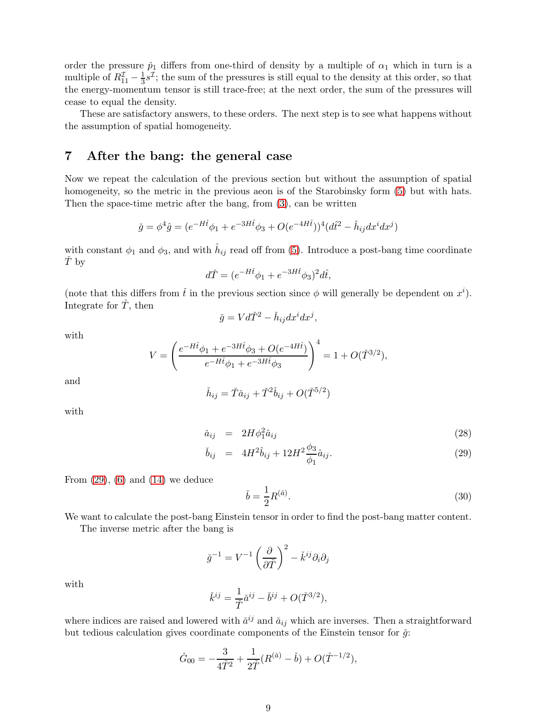order the pressure  $\check{p}_1$  differs from one-third of density by a multiple of  $\alpha_1$  which in turn is a multiple of  $R_{11}^{\mathcal{I}} - \frac{1}{3}s^{\mathcal{I}}$ ; the sum of the pressures is still equal to the density at this order, so that the energy-momentum tensor is still trace-free; at the next order, the sum of the pressures will cease to equal the density.

These are satisfactory answers, to these orders. The next step is to see what happens without the assumption of spatial homogeneity.

### 7 After the bang: the general case

Now we repeat the calculation of the previous section but without the assumption of spatial homogeneity, so the metric in the previous aeon is of the Starobinsky form  $(5)$  but with hats. Then the space-time metric after the bang, from [\(3\)](#page-1-3), can be written

$$
\check{g} = \phi^4 \hat{g} = (e^{-Ht}\phi_1 + e^{-3Ht}\phi_3 + O(e^{-4Ht}))^4 (d\hat{t}^2 - \hat{h}_{ij}dx^i dx^j)
$$

with constant  $\phi_1$  and  $\phi_3$ , and with  $\hat{h}_{ij}$  read off from [\(5\)](#page-2-0). Introduce a post-bang time coordinate  $\check{T}$  by

$$
d\check{T} = (e^{-H\hat{t}}\phi_1 + e^{-3H\hat{t}}\phi_3)^2 d\hat{t},
$$

(note that this differs from  $\check{t}$  in the previous section since  $\phi$  will generally be dependent on  $x^i$ ). Integrate for  $\ddot{T}$ , then

$$
\check{g}=V d\check{T}^2-\check{h}_{ij}dx^i dx^j,
$$

with

$$
V = \left(\frac{e^{-H\hat{t}}\phi_1 + e^{-3H\hat{t}}\phi_3 + O(e^{-4H\hat{t}})}{e^{-H\hat{t}}\phi_1 + e^{-3H\hat{t}}\phi_3}\right)^4 = 1 + O(\check{T}^{3/2}),
$$

and

$$
\check{h}_{ij} = \check{T}\check{a}_{ij} + \check{T}^2\check{b}_{ij} + O(\check{T}^{5/2})
$$

with

<span id="page-8-0"></span>
$$
\check{a}_{ij} = 2H\phi_1^2 \hat{a}_{ij} \tag{28}
$$

$$
\check{b}_{ij} = 4H^2 \hat{b}_{ij} + 12H^2 \frac{\phi_3}{\phi_1} \hat{a}_{ij}.
$$
\n(29)

From  $(29)$ ,  $(6)$  and  $(14)$  we deduce

<span id="page-8-1"></span>
$$
\check{b} = \frac{1}{2}R^{(\check{a})}.\tag{30}
$$

We want to calculate the post-bang Einstein tensor in order to find the post-bang matter content.

The inverse metric after the bang is

$$
\check{g}^{-1} = V^{-1} \left( \frac{\partial}{\partial \check{T}} \right)^2 - \check{k}^{ij} \partial_i \partial_j
$$

with

$$
\check{k}^{ij} = \frac{1}{\check{T}} \check{a}^{ij} - \check{b}^{ij} + O(\check{T}^{3/2}),
$$

where indices are raised and lowered with  $\check{a}^{ij}$  and  $\check{a}_{ij}$  which are inverses. Then a straightforward but tedious calculation gives coordinate components of the Einstein tensor for  $\check{g}$ :

$$
\check{G}_{00} = -\frac{3}{4\check{T}^2} + \frac{1}{2\check{T}}(R^{(\check{a})} - \check{b}) + O(\check{T}^{-1/2}),
$$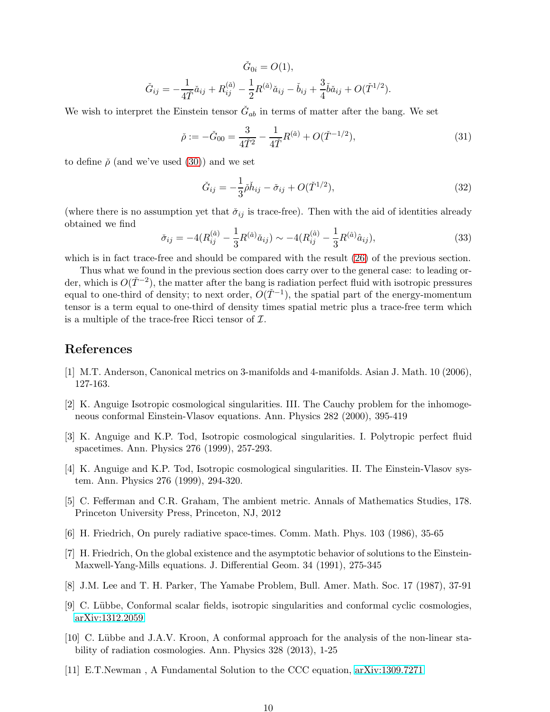$$
\check{G}_{0i} = O(1),
$$
  

$$
\check{G}_{ij} = -\frac{1}{4\check{T}}\check{a}_{ij} + R_{ij}^{(\check{a})} - \frac{1}{2}R^{(\check{a})}\check{a}_{ij} - \check{b}_{ij} + \frac{3}{4}\check{b}\check{a}_{ij} + O(\check{T}^{1/2}).
$$

We wish to interpret the Einstein tensor  $\check{G}_{ab}$  in terms of matter after the bang. We set

$$
\check{\rho} := -\check{G}_{00} = \frac{3}{4\check{T}^2} - \frac{1}{4\check{T}} R^{(\check{a})} + O(\check{T}^{-1/2}),\tag{31}
$$

to define  $\check{\rho}$  (and we've used [\(30\)](#page-8-1)) and we set

$$
\check{G}_{ij} = -\frac{1}{3}\check{\rho}\check{h}_{ij} - \check{\sigma}_{ij} + O(\check{T}^{1/2}),\tag{32}
$$

(where there is no assumption yet that  $\check{\sigma}_{ij}$  is trace-free). Then with the aid of identities already obtained we find

$$
\check{\sigma}_{ij} = -4(R_{ij}^{(\check{a})} - \frac{1}{3}R^{(\check{a})}\check{a}_{ij}) \sim -4(R_{ij}^{(\hat{a})} - \frac{1}{3}R^{(\hat{a})}\hat{a}_{ij}),\tag{33}
$$

which is in fact trace-free and should be compared with the result [\(26\)](#page-6-3) of the previous section.

Thus what we found in the previous section does carry over to the general case: to leading order, which is  $O(\check{T}^{-2})$ , the matter after the bang is radiation perfect fluid with isotropic pressures equal to one-third of density; to next order,  $O(T^{-1})$ , the spatial part of the energy-momentum tensor is a term equal to one-third of density times spatial metric plus a trace-free term which is a multiple of the trace-free Ricci tensor of  $\mathcal{I}$ .

## <span id="page-9-10"></span>References

- <span id="page-9-7"></span>[1] M.T. Anderson, Canonical metrics on 3-manifolds and 4-manifolds. Asian J. Math. 10 (2006), 127-163.
- [2] K. Anguige Isotropic cosmological singularities. III. The Cauchy problem for the inhomogeneous conformal Einstein-Vlasov equations. Ann. Physics 282 (2000), 395-419
- <span id="page-9-5"></span>[3] K. Anguige and K.P. Tod, Isotropic cosmological singularities. I. Polytropic perfect fluid spacetimes. Ann. Physics 276 (1999), 257-293.
- <span id="page-9-6"></span>[4] K. Anguige and K.P. Tod, Isotropic cosmological singularities. II. The Einstein-Vlasov system. Ann. Physics 276 (1999), 294-320.
- <span id="page-9-8"></span><span id="page-9-2"></span>[5] C. Fefferman and C.R. Graham, The ambient metric. Annals of Mathematics Studies, 178. Princeton University Press, Princeton, NJ, 2012
- <span id="page-9-3"></span>[6] H. Friedrich, On purely radiative space-times. Comm. Math. Phys. 103 (1986), 35-65
- [7] H. Friedrich, On the global existence and the asymptotic behavior of solutions to the Einstein-Maxwell-Yang-Mills equations. J. Differential Geom. 34 (1991), 275-345
- <span id="page-9-9"></span><span id="page-9-0"></span>[8] J.M. Lee and T. H. Parker, The Yamabe Problem, Bull. Amer. Math. Soc. 17 (1987), 37-91
- <span id="page-9-4"></span>[9] C. Lübbe, Conformal scalar fields, isotropic singularities and conformal cyclic cosmologies, [arXiv:1312.2059](http://arxiv.org/abs/1312.2059)
- [10] C. Lübbe and J.A.V. Kroon, A conformal approach for the analysis of the non-linear stability of radiation cosmologies. Ann. Physics 328 (2013), 1-25
- <span id="page-9-1"></span>[11] E.T.Newman , A Fundamental Solution to the CCC equation, [arXiv:1309.7271](http://arxiv.org/abs/1309.7271)